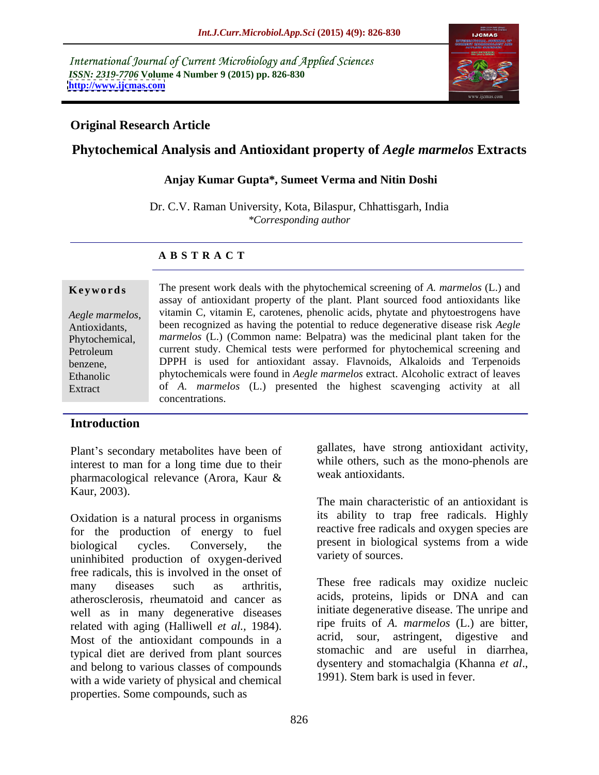International Journal of Current Microbiology and Applied Sciences *ISSN: 2319-7706* **Volume 4 Number 9 (2015) pp. 826-830 <http://www.ijcmas.com>**



## **Original Research Article**

# **Phytochemical Analysis and Antioxidant property of** *Aegle marmelos* **Extracts**

### **Anjay Kumar Gupta\*, Sumeet Verma and Nitin Doshi**

Dr. C.V. Raman University, Kota, Bilaspur, Chhattisgarh, India *\*Corresponding author*

### **A B S T R A C T**

| Keywords        | The present work deals with the phytochemical screening of A. marmelos (L.) and          |  |
|-----------------|------------------------------------------------------------------------------------------|--|
|                 | assay of antioxidant property of the plant. Plant sourced food antioxidants like         |  |
| Aegle marmelos, | vitamin C, vitamin E, carotenes, phenolic acids, phytate and phytoestrogens have         |  |
| Antioxidants,   | been recognized as having the potential to reduce degenerative disease risk <i>Aegle</i> |  |
| Phytochemical,  | <i>marmelos</i> (L.) (Common name: Belpatra) was the medicinal plant taken for the       |  |
| Petroleum       | current study. Chemical tests were performed for phytochemical screening and             |  |
| benzene,        | DPPH is used for antioxidant assay. Flavnoids, Alkaloids and Terpenoids                  |  |
| Ethanolic       | phytochemicals were found in Aegle marmelos extract. Alcoholic extract of leaves         |  |
| Extract         | of A. marmelos (L.) presented the highest scavenging activity at all                     |  |
|                 | concentrations.                                                                          |  |

### **Introduction**

Plant's secondary metabolites have been of interest to man for a long time due to their pharmacological relevance (Arora, Kaur & Kaur, 2003).

Oxidation is a natural process in organisms for the production of energy to fuel biological cycles. Conversely, the present in biological systems from a wide uninhibited production of oxygen-derived free radicals, this is involved in the onset of atherosclerosis, rheumatoid and cancer as well as in many degenerative diseases typical diet are derived from plant sources stomachic and are useful in diarrhea,<br>and belong to various classes of compounds dysentery and stomachalgia (Khanna *et al.*, and belong to various classes of compounds<br>with a wide variety of physical and chamical and 1991). Stem bark is used in fever. with a wide variety of physical and chemical properties. Some compounds, such as

gallates, have strong antioxidant activity, while others, such as the mono-phenols are weak antioxidants.

The main characteristic of an antioxidant is its ability to trap free radicals. Highly reactive free radicals and oxygen species are variety of sources.

many diseases such as arthritis, These free radicals may oxidize nucleic related with aging (Halliwell *et al.*, 1984). The fruits of *A. marmelos* (L.) are bitter,<br>Most of the antioxidant compounds in a acrid, sour, astringent, digestive and acids, proteins, lipids or DNA and can initiate degenerative disease. The unripe and ripe fruits of *A. marmelos* (L.) are bitter, acrid, sour, astringent, digestive and stomachic and are useful in diarrhea, dysentery and stomachalgia (Khanna*et al*., 1991). Stem bark is used in fever.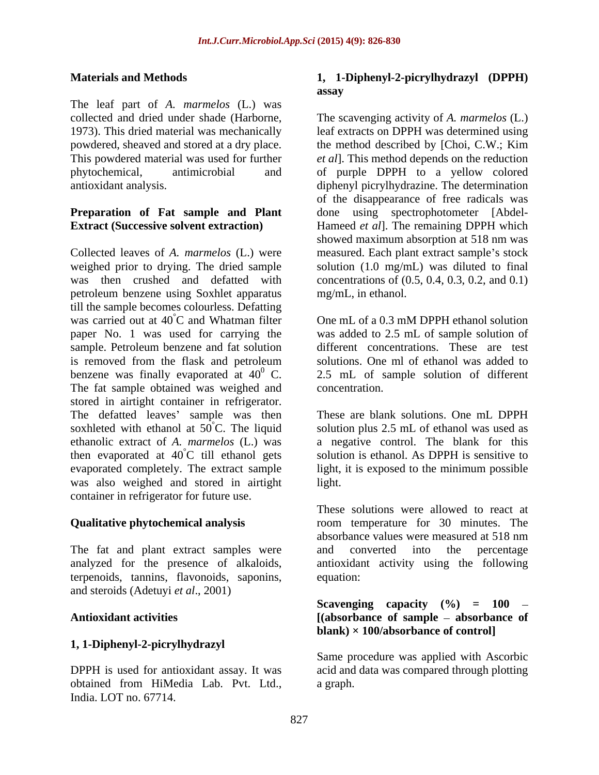The leaf part of *A. marmelos* (L.) was

# **Preparation of Fat sample and Plant**

Collected leaves of *A. marmelos* (L.) were measured. Each plant extract sample's stock weighed prior to drying. The dried sample solution (1.0 mg/mL) was diluted to final was then crushed and defatted with concentrations of (0.5, 0.4, 0.3, 0.2, and 0.1) petroleum benzene using Soxhlet apparatus till the sample becomes colourless. Defatting was carried out at  $40^{\circ}$ C and Whatman filter paper No. 1 was used for carrying the was added to 2.5 mL of sample solution of sample. Petroleum benzene and fat solution is removed from the flask and petroleum<br>benzene was finally evaporated at  $40^0$  C. benzene was finally evaporated at  $40^{\circ}$  C. 2.5 mL of sample solution of different The fat sample obtained was weighed and concentration. stored in airtight container in refrigerator. The defatted leaves' sample was then These are blank solutions. One mL DPPH soxhleted with ethanol at  $50^{\circ}$ C. The liquid solution plus 2.5 mL of ethanol was used as ethanolic extract of *A. marmelos* (L.) was a negative control. The blank for this then evaporated at  $40^{\circ}$ C till ethanol gets evaporated completely. The extract sample evaporated completely. The extract sample light, it is exposed to the minimum possible was also weighed and stored in airtight container in refrigerator for future use.

The fat and plant extract samples were and converted into the percentage terpenoids, tannins, flavonoids, saponins, and steroids (Adetuyi *et al*., 2001)

### **1, 1-Diphenyl-2-picrylhydrazyl**

obtained from HiMedia Lab. Pvt. Ltd., India. LOT no. 67714.

### **Materials and Methods 1, 1-Diphenyl-2-picrylhydrazyl (DPPH) assay**

collected and dried under shade (Harborne, The scavenging activity of *A. marmelos* (L.) 1973). This dried material was mechanically leaf extracts on DPPH was determined using powdered, sheaved and stored at a dry place. the method described by [Choi, C.W.; Kim This powdered material was used for further *et al*]. This method depends on the reduction phytochemical, antimicrobial and of purple DPPH to a yellow colored antioxidant analysis. diphenyl picrylhydrazine. The determination **Extract (Successive solvent extraction)** Hameed *et al*]. The remaining DPPH which of the disappearance of free radicals was done using spectrophotometer [Abdel showed maximum absorption at 518 nm was mg/mL, in ethanol.

°C and Whatman filter One mL of a 0.3 mM DPPH ethanol solution different concentrations. These are test solutions. One ml of ethanol was added to concentration.

> solution is ethanol. As DPPH is sensitive to solution is ethanol. As DPPH is sensitive to light.

**Qualitative phytochemical analysis** room temperature for 30 minutes. The analyzed for the presence of alkaloids, antioxidant activity using the following These solutions were allowed to react at absorbance values were measured at 518 nm and converted into the percentage equation: equation:

### **Antioxidant activities [(absorbance of sample absorbance of Scavenging capacity**  $(\frac{9}{6})$  = 100 – **blank) × 100/absorbance of control]**

DPPH is used for antioxidant assay. It was acid and data was compared through plotting Same procedure was applied with Ascorbic a graph.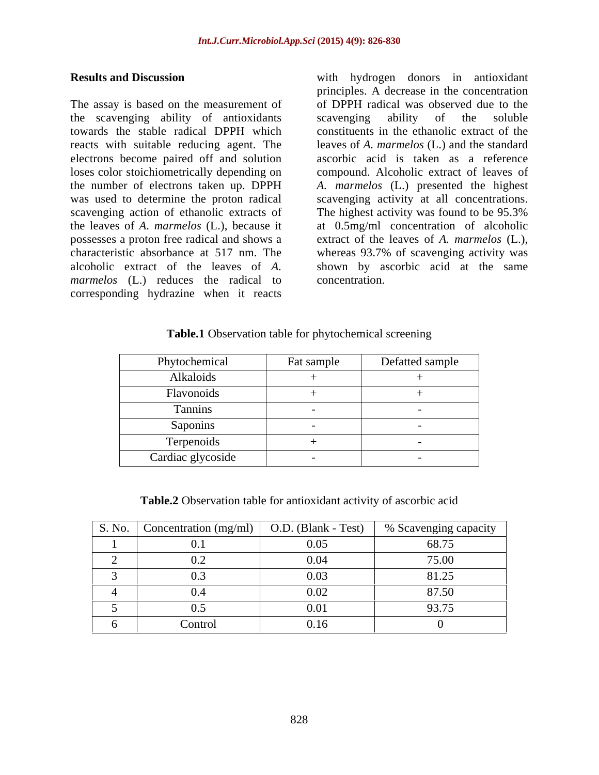The assay is based on the measurement of the scavenging ability of antioxidants towards the stable radical DPPH which constituents in the ethanolic extract of the reacts with suitable reducing agent. The leavesof *A. marmelos* (L.) and the standard electrons become paired off and solution loses color stoichiometrically depending on compound. Alcoholic extract of leaves of the number of electrons taken up. DPPH *A. marmelos* (L.) presented the highest was used to determine the proton radical scavenging activity at all concentrations. scavenging action of ethanolic extracts of The highest activity was found to be 95.3% the leaves of *A. marmelos* (L.), because it at 0.5mg/ml concentration of alcoholic possesses a proton free radical and shows a extract of the leaves of *A. marmelos* (L.), characteristic absorbance at 517 nm. The whereas 93.7% of scavenging activity was alcoholic extract of the leaves of *A.*  shown by ascorbic acid at the same *marmelos* (L.) reduces the radical to concentration. corresponding hydrazine when it reacts

**Results and Discussion** with hydrogen donors in antioxidant principles. A decrease in the concentration of DPPH radical was observed due to the scavenging ability of the soluble ascorbic acid is taken as a reference The highest activity was found to be 95.3% concentration.

### **Table.1** Observation table for phytochemical screening

| Phytochemical     | Fat sample | Defatted sample |
|-------------------|------------|-----------------|
| Alkaloids         |            |                 |
| Flavonoids        |            |                 |
| Tannins           |            |                 |
| Saponins          |            |                 |
| Terpenoids        |            |                 |
| Cardiac glycoside |            |                 |

**Table.2** Observation table for antioxidant activity of ascorbic acid

| S. No. | Concentration (mg/ml) $\vert$ O.D. (Blank - Test) |      | % Scavenging capacity |
|--------|---------------------------------------------------|------|-----------------------|
|        |                                                   | 0.05 | 68.75                 |
|        |                                                   | 0.04 | 75.00                 |
|        | 0.                                                | 0.03 | 81.25                 |
|        | 0.4                                               | 0.02 | 87.50                 |
|        | 0.5                                               | 0.01 | 93.75                 |
|        | Control                                           | 0.16 |                       |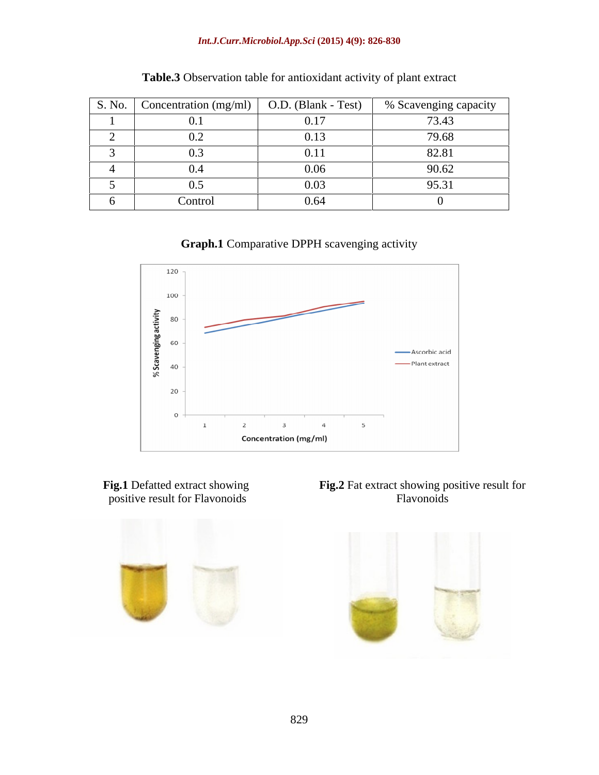### *Int.J.Curr.Microbiol.App.Sci* **(2015) 4(9): 826-830**

| S. No. | Concentration (mg/ml) | O.D. (Blank - Test) | $\sim$<br>% Scavenging capacity |
|--------|-----------------------|---------------------|---------------------------------|
|        | v.                    | 0.17                | 73.43                           |
|        |                       | 0.13                | 79.68                           |
|        |                       | 0.1                 | 82.81                           |
|        |                       | 0.06                | 90.62                           |
|        | ∪.,                   | 0.03                | 95.31                           |
|        | Control               | 0.64                |                                 |

| <b>Table.3</b> Observation table for antioxidant activity of plant extract |  |
|----------------------------------------------------------------------------|--|
|----------------------------------------------------------------------------|--|

**Graph.1** Comparative DPPH scavenging activity



positive result for Flavonoids



**Fig.1** Defatted extract showing **Fig.2** Fat extract showing positive result for Flavonoids